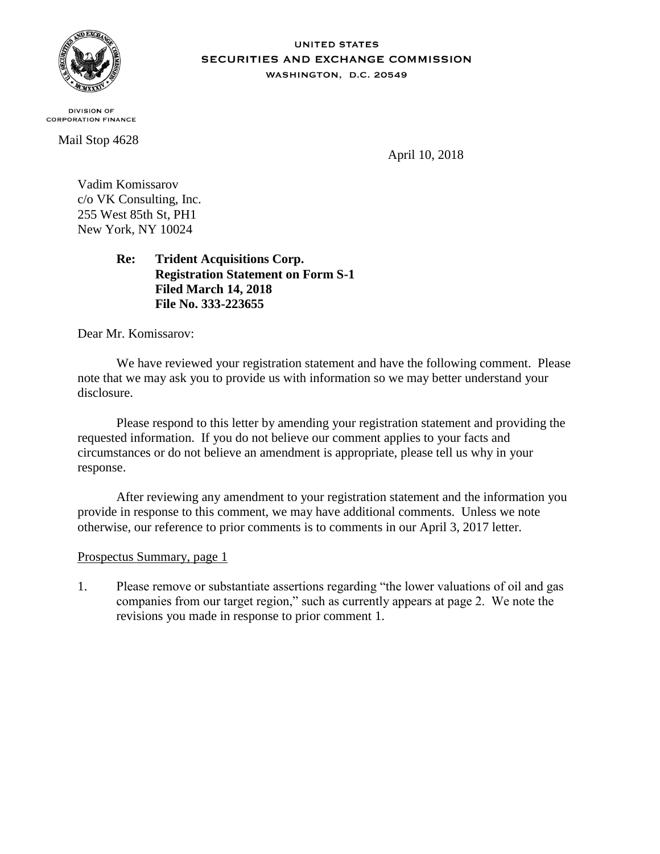

## **UNITED STATES** SECURITIES AND EXCHANGE COMMISSION WASHINGTON, D.C. 20549

**DIVISION OF CORPORATION FINANCE** 

Mail Stop 4628

April 10, 2018

Vadim Komissarov c/o VK Consulting, Inc. 255 West 85th St, PH1 New York, NY 10024

> **Re: Trident Acquisitions Corp. Registration Statement on Form S-1 Filed March 14, 2018 File No. 333-223655**

Dear Mr. Komissarov:

We have reviewed your registration statement and have the following comment. Please note that we may ask you to provide us with information so we may better understand your disclosure.

Please respond to this letter by amending your registration statement and providing the requested information. If you do not believe our comment applies to your facts and circumstances or do not believe an amendment is appropriate, please tell us why in your response.

After reviewing any amendment to your registration statement and the information you provide in response to this comment, we may have additional comments. Unless we note otherwise, our reference to prior comments is to comments in our April 3, 2017 letter.

## Prospectus Summary, page 1

1. Please remove or substantiate assertions regarding "the lower valuations of oil and gas companies from our target region," such as currently appears at page 2. We note the revisions you made in response to prior comment 1.